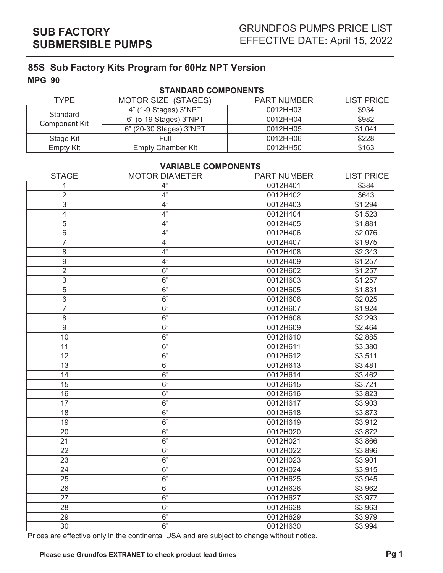**MPG 90**

## **STANDARD COMPONENTS**

| TYPF                             | <b>MOTOR SIZE (STAGES)</b> | <b>PART NUMBER</b> | <b>LIST PRICE</b> |
|----------------------------------|----------------------------|--------------------|-------------------|
| Standard<br><b>Component Kit</b> | 4" (1-9 Stages) 3"NPT      | 0012HH03           | \$934             |
|                                  | 6" (5-19 Stages) 3"NPT     | 0012HH04           | \$982             |
|                                  | 6" (20-30 Stages) 3"NPT    | 0012HH05           | \$1,041           |
| Stage Kit                        | Full                       | 0012HH06           | \$228             |
| <b>Empty Kit</b>                 | <b>Empty Chamber Kit</b>   | 0012HH50           | \$163             |

### **VARIABLE COMPONENTS**

| 4"<br>0012H401<br>\$384<br>1<br>4"<br>$\overline{2}$<br>0012H402<br>\$643<br>4"<br>3<br>0012H403<br>\$1,294<br>4"<br>$\overline{\mathcal{A}}$<br>0012H404<br>\$1,523<br>4"<br>5<br>0012H405<br>\$1,881<br>4"<br>$\,6$<br>\$2,076<br>0012H406<br>4"<br>7<br>0012H407<br>\$1,975<br>4"<br>8<br>0012H408<br>\$2,343<br>4"<br>$\boldsymbol{9}$<br>\$1,257<br>0012H409<br>$\overline{2}$<br>6"<br>\$1,257<br>0012H602<br>3<br>6"<br>0012H603<br>\$1,257<br>$\overline{5}$<br>6"<br>0012H605<br>\$1,831<br>6<br>6"<br>0012H606<br>\$2,025<br>$\overline{7}$<br>6"<br>0012H607<br>\$1,924<br>6"<br>8<br>0012H608<br>\$2,293<br>$\overline{9}$<br>6"<br>0012H609<br>\$2,464<br>6"<br>10<br>0012H610<br>\$2,885<br>6"<br>11<br>0012H611<br>\$3,380<br>6"<br>12<br>0012H612<br>\$3,511<br>6"<br>13<br>0012H613<br>\$3,481<br>6"<br>14<br>0012H614<br>\$3,462<br>$\overline{15}$<br>6"<br>0012H615<br>\$3,721<br>6"<br>16<br>\$3,823<br>0012H616<br>6"<br>$\overline{17}$<br>0012H617<br>\$3,903<br>6"<br>18<br>0012H618<br>\$3,873<br>6"<br>$\overline{19}$<br>0012H619<br>\$3,912<br>6"<br>\$3,872<br>20<br>0012H020<br>21<br>6"<br>0012H021<br>\$3,866<br>6"<br>22<br>0012H022<br>\$3,896<br>6"<br>23<br>0012H023<br>\$3,901<br>6"<br>24<br>0012H024<br>\$3,915<br>6"<br>25<br>0012H625<br>\$3,945<br>6"<br>26<br>0012H626<br>\$3,962<br>6"<br>27<br>0012H627<br>\$3,977<br>6"<br>28<br>0012H628<br>\$3,963<br>6"<br>29<br>0012H629<br>\$3,979<br>6"<br>30<br>0012H630<br>\$3,994 | <b>STAGE</b> | <b>MOTOR DIAMETER</b> | <b>PART NUMBER</b> | <b>LIST PRICE</b> |
|---------------------------------------------------------------------------------------------------------------------------------------------------------------------------------------------------------------------------------------------------------------------------------------------------------------------------------------------------------------------------------------------------------------------------------------------------------------------------------------------------------------------------------------------------------------------------------------------------------------------------------------------------------------------------------------------------------------------------------------------------------------------------------------------------------------------------------------------------------------------------------------------------------------------------------------------------------------------------------------------------------------------------------------------------------------------------------------------------------------------------------------------------------------------------------------------------------------------------------------------------------------------------------------------------------------------------------------------------------------------------------------------------------------------------------------------------------------------------|--------------|-----------------------|--------------------|-------------------|
|                                                                                                                                                                                                                                                                                                                                                                                                                                                                                                                                                                                                                                                                                                                                                                                                                                                                                                                                                                                                                                                                                                                                                                                                                                                                                                                                                                                                                                                                           |              |                       |                    |                   |
|                                                                                                                                                                                                                                                                                                                                                                                                                                                                                                                                                                                                                                                                                                                                                                                                                                                                                                                                                                                                                                                                                                                                                                                                                                                                                                                                                                                                                                                                           |              |                       |                    |                   |
|                                                                                                                                                                                                                                                                                                                                                                                                                                                                                                                                                                                                                                                                                                                                                                                                                                                                                                                                                                                                                                                                                                                                                                                                                                                                                                                                                                                                                                                                           |              |                       |                    |                   |
|                                                                                                                                                                                                                                                                                                                                                                                                                                                                                                                                                                                                                                                                                                                                                                                                                                                                                                                                                                                                                                                                                                                                                                                                                                                                                                                                                                                                                                                                           |              |                       |                    |                   |
|                                                                                                                                                                                                                                                                                                                                                                                                                                                                                                                                                                                                                                                                                                                                                                                                                                                                                                                                                                                                                                                                                                                                                                                                                                                                                                                                                                                                                                                                           |              |                       |                    |                   |
|                                                                                                                                                                                                                                                                                                                                                                                                                                                                                                                                                                                                                                                                                                                                                                                                                                                                                                                                                                                                                                                                                                                                                                                                                                                                                                                                                                                                                                                                           |              |                       |                    |                   |
|                                                                                                                                                                                                                                                                                                                                                                                                                                                                                                                                                                                                                                                                                                                                                                                                                                                                                                                                                                                                                                                                                                                                                                                                                                                                                                                                                                                                                                                                           |              |                       |                    |                   |
|                                                                                                                                                                                                                                                                                                                                                                                                                                                                                                                                                                                                                                                                                                                                                                                                                                                                                                                                                                                                                                                                                                                                                                                                                                                                                                                                                                                                                                                                           |              |                       |                    |                   |
|                                                                                                                                                                                                                                                                                                                                                                                                                                                                                                                                                                                                                                                                                                                                                                                                                                                                                                                                                                                                                                                                                                                                                                                                                                                                                                                                                                                                                                                                           |              |                       |                    |                   |
|                                                                                                                                                                                                                                                                                                                                                                                                                                                                                                                                                                                                                                                                                                                                                                                                                                                                                                                                                                                                                                                                                                                                                                                                                                                                                                                                                                                                                                                                           |              |                       |                    |                   |
|                                                                                                                                                                                                                                                                                                                                                                                                                                                                                                                                                                                                                                                                                                                                                                                                                                                                                                                                                                                                                                                                                                                                                                                                                                                                                                                                                                                                                                                                           |              |                       |                    |                   |
|                                                                                                                                                                                                                                                                                                                                                                                                                                                                                                                                                                                                                                                                                                                                                                                                                                                                                                                                                                                                                                                                                                                                                                                                                                                                                                                                                                                                                                                                           |              |                       |                    |                   |
|                                                                                                                                                                                                                                                                                                                                                                                                                                                                                                                                                                                                                                                                                                                                                                                                                                                                                                                                                                                                                                                                                                                                                                                                                                                                                                                                                                                                                                                                           |              |                       |                    |                   |
|                                                                                                                                                                                                                                                                                                                                                                                                                                                                                                                                                                                                                                                                                                                                                                                                                                                                                                                                                                                                                                                                                                                                                                                                                                                                                                                                                                                                                                                                           |              |                       |                    |                   |
|                                                                                                                                                                                                                                                                                                                                                                                                                                                                                                                                                                                                                                                                                                                                                                                                                                                                                                                                                                                                                                                                                                                                                                                                                                                                                                                                                                                                                                                                           |              |                       |                    |                   |
|                                                                                                                                                                                                                                                                                                                                                                                                                                                                                                                                                                                                                                                                                                                                                                                                                                                                                                                                                                                                                                                                                                                                                                                                                                                                                                                                                                                                                                                                           |              |                       |                    |                   |
|                                                                                                                                                                                                                                                                                                                                                                                                                                                                                                                                                                                                                                                                                                                                                                                                                                                                                                                                                                                                                                                                                                                                                                                                                                                                                                                                                                                                                                                                           |              |                       |                    |                   |
|                                                                                                                                                                                                                                                                                                                                                                                                                                                                                                                                                                                                                                                                                                                                                                                                                                                                                                                                                                                                                                                                                                                                                                                                                                                                                                                                                                                                                                                                           |              |                       |                    |                   |
|                                                                                                                                                                                                                                                                                                                                                                                                                                                                                                                                                                                                                                                                                                                                                                                                                                                                                                                                                                                                                                                                                                                                                                                                                                                                                                                                                                                                                                                                           |              |                       |                    |                   |
|                                                                                                                                                                                                                                                                                                                                                                                                                                                                                                                                                                                                                                                                                                                                                                                                                                                                                                                                                                                                                                                                                                                                                                                                                                                                                                                                                                                                                                                                           |              |                       |                    |                   |
|                                                                                                                                                                                                                                                                                                                                                                                                                                                                                                                                                                                                                                                                                                                                                                                                                                                                                                                                                                                                                                                                                                                                                                                                                                                                                                                                                                                                                                                                           |              |                       |                    |                   |
|                                                                                                                                                                                                                                                                                                                                                                                                                                                                                                                                                                                                                                                                                                                                                                                                                                                                                                                                                                                                                                                                                                                                                                                                                                                                                                                                                                                                                                                                           |              |                       |                    |                   |
|                                                                                                                                                                                                                                                                                                                                                                                                                                                                                                                                                                                                                                                                                                                                                                                                                                                                                                                                                                                                                                                                                                                                                                                                                                                                                                                                                                                                                                                                           |              |                       |                    |                   |
|                                                                                                                                                                                                                                                                                                                                                                                                                                                                                                                                                                                                                                                                                                                                                                                                                                                                                                                                                                                                                                                                                                                                                                                                                                                                                                                                                                                                                                                                           |              |                       |                    |                   |
|                                                                                                                                                                                                                                                                                                                                                                                                                                                                                                                                                                                                                                                                                                                                                                                                                                                                                                                                                                                                                                                                                                                                                                                                                                                                                                                                                                                                                                                                           |              |                       |                    |                   |
|                                                                                                                                                                                                                                                                                                                                                                                                                                                                                                                                                                                                                                                                                                                                                                                                                                                                                                                                                                                                                                                                                                                                                                                                                                                                                                                                                                                                                                                                           |              |                       |                    |                   |
|                                                                                                                                                                                                                                                                                                                                                                                                                                                                                                                                                                                                                                                                                                                                                                                                                                                                                                                                                                                                                                                                                                                                                                                                                                                                                                                                                                                                                                                                           |              |                       |                    |                   |
|                                                                                                                                                                                                                                                                                                                                                                                                                                                                                                                                                                                                                                                                                                                                                                                                                                                                                                                                                                                                                                                                                                                                                                                                                                                                                                                                                                                                                                                                           |              |                       |                    |                   |
|                                                                                                                                                                                                                                                                                                                                                                                                                                                                                                                                                                                                                                                                                                                                                                                                                                                                                                                                                                                                                                                                                                                                                                                                                                                                                                                                                                                                                                                                           |              |                       |                    |                   |
|                                                                                                                                                                                                                                                                                                                                                                                                                                                                                                                                                                                                                                                                                                                                                                                                                                                                                                                                                                                                                                                                                                                                                                                                                                                                                                                                                                                                                                                                           |              |                       |                    |                   |
|                                                                                                                                                                                                                                                                                                                                                                                                                                                                                                                                                                                                                                                                                                                                                                                                                                                                                                                                                                                                                                                                                                                                                                                                                                                                                                                                                                                                                                                                           |              |                       |                    |                   |
|                                                                                                                                                                                                                                                                                                                                                                                                                                                                                                                                                                                                                                                                                                                                                                                                                                                                                                                                                                                                                                                                                                                                                                                                                                                                                                                                                                                                                                                                           |              |                       |                    |                   |
|                                                                                                                                                                                                                                                                                                                                                                                                                                                                                                                                                                                                                                                                                                                                                                                                                                                                                                                                                                                                                                                                                                                                                                                                                                                                                                                                                                                                                                                                           |              |                       |                    |                   |
|                                                                                                                                                                                                                                                                                                                                                                                                                                                                                                                                                                                                                                                                                                                                                                                                                                                                                                                                                                                                                                                                                                                                                                                                                                                                                                                                                                                                                                                                           |              |                       |                    |                   |
|                                                                                                                                                                                                                                                                                                                                                                                                                                                                                                                                                                                                                                                                                                                                                                                                                                                                                                                                                                                                                                                                                                                                                                                                                                                                                                                                                                                                                                                                           |              |                       |                    |                   |
|                                                                                                                                                                                                                                                                                                                                                                                                                                                                                                                                                                                                                                                                                                                                                                                                                                                                                                                                                                                                                                                                                                                                                                                                                                                                                                                                                                                                                                                                           |              |                       |                    |                   |
|                                                                                                                                                                                                                                                                                                                                                                                                                                                                                                                                                                                                                                                                                                                                                                                                                                                                                                                                                                                                                                                                                                                                                                                                                                                                                                                                                                                                                                                                           |              |                       |                    |                   |

Prices are effective only in the continental USA and are subject to change without notice.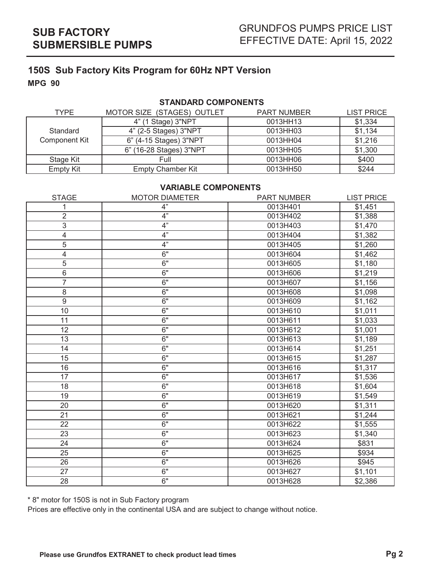## **STANDARD COMPONENTS**

| TYPE                 | MOTOR SIZE (STAGES) OUTLET | <b>PART NUMBER</b> | <b>LIST PRICE</b> |
|----------------------|----------------------------|--------------------|-------------------|
|                      | 4" (1 Stage) 3"NPT         | 0013HH13           | \$1,334           |
| Standard             | 4" (2-5 Stages) 3"NPT      | 0013HH03           | \$1,134           |
| <b>Component Kit</b> | 6" (4-15 Stages) 3"NPT     | 0013HH04           | \$1,216           |
|                      | (16-28 Stages) 3"NPT<br>6" | 0013HH05           | \$1,300           |
| Stage Kit            | Full                       | 0013HH06           | \$400             |
| <b>Empty Kit</b>     | <b>Empty Chamber Kit</b>   | 0013HH50           | \$244             |

## **VARIABLE COMPONENTS**

| <b>STAGE</b>   | <b>MOTOR DIAMETER</b> | <b>PART NUMBER</b> | <b>LIST PRICE</b> |
|----------------|-----------------------|--------------------|-------------------|
| 1              | 4"                    | 0013H401           | \$1,451           |
| $\overline{2}$ | 4"                    | 0013H402           | \$1,388           |
| 3              | 4"                    | 0013H403           | \$1,470           |
| 4              | 4"                    | 0013H404           | \$1,382           |
| 5              | 4"                    | 0013H405           | \$1,260           |
| 4              | 6"                    | 0013H604           | \$1,462           |
| 5              | 6"                    | 0013H605           | \$1,180           |
| 6              | 6"                    | 0013H606           | \$1,219           |
| $\overline{7}$ | 6"                    | 0013H607           | \$1,156           |
| $\,8\,$        | 6"                    | 0013H608           | \$1,098           |
| 9              | 6"                    | 0013H609           | \$1,162           |
| 10             | 6"                    | 0013H610           | \$1,011           |
| 11             | 6"                    | 0013H611           | \$1,033           |
| 12             | 6"                    | 0013H612           | \$1,001           |
| 13             | 6"                    | 0013H613           | \$1,189           |
| 14             | 6"                    | 0013H614           | \$1,251           |
| 15             | 6"                    | 0013H615           | \$1,287           |
| 16             | 6"                    | 0013H616           | \$1,317           |
| 17             | 6"                    | 0013H617           | \$1,536           |
| 18             | 6"                    | 0013H618           | \$1,604           |
| 19             | 6"                    | 0013H619           | \$1,549           |
| 20             | 6"                    | 0013H620           | \$1,311           |
| 21             | 6"                    | 0013H621           | \$1,244           |
| 22             | 6"                    | 0013H622           | \$1,555           |
| 23             | 6"                    | 0013H623           | \$1,340           |
| 24             | 6"                    | 0013H624           | \$831             |
| 25             | 6"                    | 0013H625           | \$934             |
| 26             | 6"                    | 0013H626           | \$945             |
| 27             | 6"                    | 0013H627           | \$1,101           |
| 28             | 6"                    | 0013H628           | \$2,386           |

\* 8" motor for 150S is not in Sub Factory program

Prices are effective only in the continental USA and are subject to change without notice.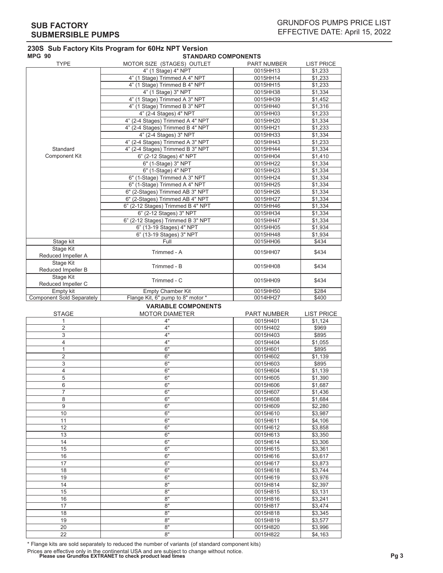| <b>MPG 90</b>                    | <b>STANDARD COMPONENTS</b>        |             |                   |  |
|----------------------------------|-----------------------------------|-------------|-------------------|--|
| <b>TYPE</b>                      | MOTOR SIZE (STAGES) OUTLET        | PART NUMBER | <b>LIST PRICE</b> |  |
|                                  | 4" (1 Stage) 4" NPT               | 0015HH13    | \$1,233           |  |
|                                  | 4" (1 Stage) Trimmed A 4" NPT     | 0015HH14    | \$1,233           |  |
|                                  | 4" (1 Stage) Trimmed B 4" NPT     | 0015HH15    | \$1,233           |  |
|                                  | 4" (1 Stage) 3" NPT               | 0015HH38    | \$1,334           |  |
|                                  | 4" (1 Stage) Trimmed A 3" NPT     | 0015HH39    | \$1,452           |  |
|                                  | 4" (1 Stage) Trimmed B 3" NPT     | 0015HH40    | \$1,316           |  |
|                                  | 4" (2-4 Stages) 4" NPT            | 0015HH03    | \$1,233           |  |
|                                  | 4" (2-4 Stages) Trimmed A 4" NPT  | 0015HH20    | \$1,334           |  |
|                                  | 4" (2-4 Stages) Trimmed B 4" NPT  | 0015HH21    | \$1,233           |  |
|                                  | 4" (2-4 Stages) 3" NPT            | 0015HH33    | \$1,334           |  |
|                                  | 4" (2-4 Stages) Trimmed A 3" NPT  | 0015HH43    | \$1,233           |  |
| Standard                         | 4" (2-4 Stages) Trimmed B 3" NPT  | 0015HH44    | \$1,334           |  |
| <b>Component Kit</b>             | 6" (2-12 Stages) 4" NPT           | 0015HH04    | \$1,410           |  |
|                                  | 6" (1-Stage) 3" NPT               | 0015HH22    | \$1,334           |  |
|                                  | 6" (1-Stage) 4" NPT               | 0015HH23    | \$1,334           |  |
|                                  | 6" (1-Stage) Trimmed A 3" NPT     | 0015HH24    | \$1,334           |  |
|                                  | 6" (1-Stage) Trimmed A 4" NPT     | 0015HH25    | \$1,334           |  |
|                                  | 6" (2-Stages) Trimmed AB 3" NPT   | 0015HH26    | \$1,334           |  |
|                                  | 6" (2-Stages) Trimmed AB 4" NPT   | 0015HH27    | \$1,334           |  |
|                                  | 6" (2-12 Stages) Trimmed B 4" NPT | 0015HH46    | \$1,334           |  |
|                                  | 6" (2-12 Stages) 3" NPT           | 0015HH34    | \$1,334           |  |
|                                  | 6" (2-12 Stages) Trimmed B 3" NPT | 0015HH47    | \$1,334           |  |
|                                  | 6" (13-19 Stages) 4" NPT          | 0015HH05    | \$1,934           |  |
|                                  | 6" (13-19 Stages) 3" NPT          | 0015HH48    | \$1,934           |  |
| Stage kit                        | Full                              | 0015HH06    | \$434             |  |
| Stage Kit                        | Trimmed - A                       | 0015HH07    | \$434             |  |
| Reduced Impeller A               |                                   |             |                   |  |
| Stage Kit<br>Reduced Impeller B  | Trimmed - B                       | 0015HH08    | \$434             |  |
| Stage Kit<br>Reduced Impeller C  | Trimmed - C                       | 0015HH09    | \$434             |  |
| Empty kit                        | <b>Empty Chamber Kit</b>          | 0015HH50    | \$284             |  |
| <b>Component Sold Separately</b> | Flange Kit, 6" pump to 8" motor * | 0014HH27    | \$400             |  |

# STAGE MOTOR DIAMETER PART NUMBER LIST PRICE

**VARIABLE COMPONENTS**

| 1              | 4" | 0015H401 | \$1,124 |
|----------------|----|----------|---------|
| 2              | 4" | 0015H402 | \$969   |
| 3              | 4" | 0015H403 | \$895   |
| 4              | 4" | 0015H404 | \$1,055 |
| 1              | 6" | 0015H601 | \$895   |
| $\overline{2}$ | 6" | 0015H602 | \$1,139 |
| 3              | 6" | 0015H603 | \$895   |
| 4              | 6" | 0015H604 | \$1,139 |
| 5              | 6" | 0015H605 | \$1,390 |
| 6              | 6" | 0015H606 | \$1,687 |
| $\overline{7}$ | 6" | 0015H607 | \$1,436 |
| 8              | 6" | 0015H608 | \$1,684 |
| 9              | 6" | 0015H609 | \$2,280 |
| 10             | 6" | 0015H610 | \$3,987 |
| 11             | 6" | 0015H611 | \$4,106 |
| 12             | 6" | 0015H612 | \$3,858 |
| 13             | 6" | 0015H613 | \$3,350 |
| 14             | 6" | 0015H614 | \$3,306 |
| 15             | 6" | 0015H615 | \$3,361 |
| 16             | 6" | 0015H616 | \$3,617 |
| 17             | 6" | 0015H617 | \$3,873 |
| 18             | 6" | 0015H618 | \$3,744 |
| 19             | 6" | 0015H619 | \$3,976 |
| 14             | 8" | 0015H814 | \$2,397 |
| 15             | 8" | 0015H815 | \$3,131 |
| 16             | 8" | 0015H816 | \$3,241 |
| 17             | 8" | 0015H817 | \$3,474 |
| 18             | 8" | 0015H818 | \$3,345 |
| 19             | 8" | 0015H819 | \$3,577 |
| 20             | 8" | 0015H820 | \$3,996 |
| 22             | 8" | 0015H822 | \$4,163 |

\* Flange kits are sold separately to reduced the number of variants (of standard component kits)

Prices are effective only in the continental USA and are subject to change without notice. **Please use Grundfos EXTRANET to check product lead times Pg 3**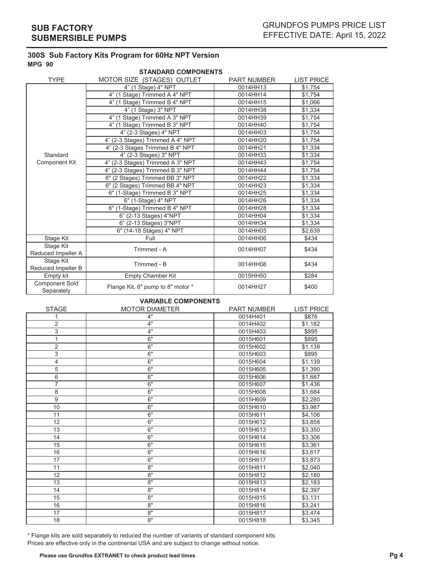| <b>STANDARD COMPONENTS</b>          |                                   |                    |                   |  |
|-------------------------------------|-----------------------------------|--------------------|-------------------|--|
| <b>TYPE</b>                         | MOTOR SIZE (STAGES) OUTLET        | <b>PART NUMBER</b> | <b>LIST PRICE</b> |  |
|                                     | 4" (1 Stage) 4" NPT               | 0014HH13           | \$1,754           |  |
|                                     | 4" (1 Stage) Trimmed A 4" NPT     | 0014HH14           | \$1,754           |  |
|                                     | 4" (1 Stage) Trimmed B 4" NPT     | 0014HH15           | \$1,066           |  |
|                                     | 4" (1 Stage) 3" NPT               | 0014HH38           | \$1,334           |  |
|                                     | 4" (1 Stage) Trimmed A 3" NPT     | 0014HH39           | \$1,754           |  |
|                                     | 4" (1 Stage) Trimmed B 3" NPT     | 0014HH40           | \$1,754           |  |
|                                     | 4" (2-3 Stages) 4" NPT            | 0014HH03           | \$1,754           |  |
|                                     | 4" (2-3 Stages) Trimmed A 4" NPT  | 0014HH20           | \$1,754           |  |
|                                     | 4" (2-3 Stages Trimmed B 4" NPT   | 0014HH21           | \$1,334           |  |
| Standard                            | 4" (2-3 Stages) 3" NPT            | 0014HH33           | \$1,334           |  |
| <b>Component Kit</b>                | 4" (2-3 Stages) Trimmed A 3" NPT  | 0014HH43           | \$1,754           |  |
|                                     | 4" (2-3 Stages) Trimmed B 3" NPT  | 0014HH44           | \$1,754           |  |
|                                     | 6" (2 Stages) Trimmed BB 3" NPT   | 0014HH22           | \$1,334           |  |
|                                     | 6" (2 Stages) Trimmed BB 4" NPT   | 0014HH23           | \$1,334           |  |
|                                     | 6" (1-Stage) Trimmed B 3" NPT     | 0014HH25           | \$1,334           |  |
|                                     | 6" (1-Stage) 4" NPT               | 0014HH26           | \$1,334           |  |
|                                     | 6" (1-Stage) Trimmed B 4" NPT     | 0014HH28           | \$1,334           |  |
|                                     | 6" (2-13 Stages) 4"NPT            | 0014HH04           | \$1,334           |  |
|                                     | 6" (2-13 Stages) 3"NPT            | 0014HH34           | \$1,334           |  |
|                                     | 6" (14-18 Stages) 4" NPT          | 0014HH05           | \$2,639           |  |
| Stage Kit                           | Full                              | 0014HH06           | \$434             |  |
| Stage Kit                           | Trimmed - A                       | 0014HH07           | \$434             |  |
| Reduced Impeller A                  |                                   |                    |                   |  |
| Stage Kit                           | Trimmed - B                       | 0014HH08           | \$434             |  |
| Reduced Impeller B                  |                                   |                    |                   |  |
| Empty kit                           | <b>Empty Chamber Kit</b>          | 0015HH50           | \$284             |  |
| <b>Component Sold</b><br>Separately | Flange Kit, 6" pump to 8" motor * | 0014HH27           | \$400             |  |

## **VARIABLE COMPONENTS**

| <b>STAGE</b>   | <b>MOTOR DIAMETER</b> | <b>PART NUMBER</b> | <b>LIST PRICE</b> |
|----------------|-----------------------|--------------------|-------------------|
|                | 4"                    | 0014H401           | \$876             |
| 2              | 4"                    | 0014H402           | \$1,182           |
| 3              | 4"                    | 0015H403           | \$895             |
| 1              | 6"                    | 0015H601           | \$895             |
| $\overline{2}$ | 6"                    | 0015H602           | \$1,139           |
| 3              | 6"                    | 0015H603           | \$895             |
| 4              | 6"                    | 0015H604           | \$1,139           |
| 5              | 6"                    | 0015H605           | \$1,390           |
| 6              | 6"                    | 0015H606           | \$1,687           |
| $\overline{7}$ | 6"                    | 0015H607           | \$1,436           |
| 8              | 6"                    | 0015H608           | \$1,684           |
| 9              | 6"                    | 0015H609           | \$2,280           |
| 10             | 6"                    | 0015H610           | \$3,987           |
| 11             | 6"                    | 0015H611           | \$4,106           |
| 12             | 6"                    | 0015H612           | \$3,858           |
| 13             | 6"                    | 0015H613           | \$3,350           |
| 14             | 6"                    | 0015H614           | \$3,306           |
| 15             | 6"                    | 0015H615           | \$3,361           |
| 16             | 6"                    | 0015H616           | \$3,617           |
| 17             | 6"                    | 0015H617           | \$3,873           |
| 11             | 8"                    | 0015H811           | \$2,040           |
| 12             | 8"                    | 0015H812           | \$2,180           |
| 13             | 8"                    | 0015H813           | \$2,183           |
| 14             | 8"                    | 0015H814           | \$2,397           |
| 15             | 8"                    | 0015H815           | \$3,131           |
| 16             | 8"                    | 0015H816           | \$3,241           |
| 17             | 8"                    | 0015H817           | \$3,474           |
| 18             | 8"                    | 0015H818           | \$3,345           |

\* Flange kits are sold separately to reduced the number of variants of standard component kits. Prices are effective only in the continental USA and are subject to change without notice.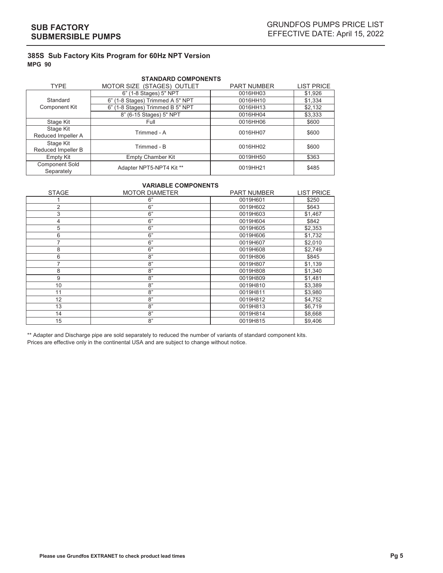| <b>STANDARD COMPONENTS</b>          |                                  |                    |                   |
|-------------------------------------|----------------------------------|--------------------|-------------------|
| <b>TYPE</b>                         | MOTOR SIZE (STAGES) OUTLET       | <b>PART NUMBER</b> | <b>LIST PRICE</b> |
|                                     | 6" (1-8 Stages) 5" NPT           | 0016HH03           | \$1,926           |
| Standard                            | 6" (1-8 Stages) Trimmed A 5" NPT | 0016HH10           | \$1,334           |
| Component Kit                       | 6" (1-8 Stages) Trimmed B 5" NPT | 0016HH13           | \$2,132           |
|                                     | 8" (6-15 Stages) 5" NPT          | 0016HH04           | \$3,333           |
| Stage Kit                           | Full                             | 0016HH06           | \$600             |
| Stage Kit<br>Reduced Impeller A     | Trimmed - A                      | 0016HH07           | \$600             |
| Stage Kit<br>Reduced Impeller B     | Trimmed - B                      | 0016HH02           | \$600             |
| Empty Kit                           | <b>Empty Chamber Kit</b>         | 0019HH50           | \$363             |
| <b>Component Sold</b><br>Separately | Adapter NPT5-NPT4 Kit **         | 0019HH21           | \$485             |

#### **VARIABLE COMPONENTS**

| <b>STAGE</b>   | <b>MOTOR DIAMETER</b> | <b>PART NUMBER</b> | <b>LIST PRICE</b> |
|----------------|-----------------------|--------------------|-------------------|
|                | 6"                    | 0019H601           | \$250             |
| 2              | 6"                    | 0019H602           | \$643             |
| 3              | 6"                    | 0019H603           | \$1,467           |
| 4              | 6"                    | 0019H604           | \$842             |
| 5              | 6"                    | 0019H605           | \$2,353           |
| 6              | 6"                    | 0019H606           | \$1,732           |
| 7              | 6"                    | 0019H607           | \$2,010           |
| 8              | 6"                    | 0019H608           | \$2,749           |
| 6              | 8"                    | 0019H806           | \$845             |
| $\overline{7}$ | 8"                    | 0019H807           | \$1,139           |
| 8              | 8"                    | 0019H808           | \$1,340           |
| 9              | 8"                    | 0019H809           | \$1,481           |
| 10             | 8"                    | 0019H810           | \$3,389           |
| 11             | 8"                    | 0019H811           | \$3,980           |
| 12             | 8"                    | 0019H812           | \$4,752           |
| 13             | 8"                    | 0019H813           | \$6,719           |
| 14             | 8"                    | 0019H814           | \$8,668           |
| 15             | 8"                    | 0019H815           | \$9,406           |

\*\* Adapter and Discharge pipe are sold separately to reduced the number of variants of standard component kits. Prices are effective only in the continental USA and are subject to change without notice.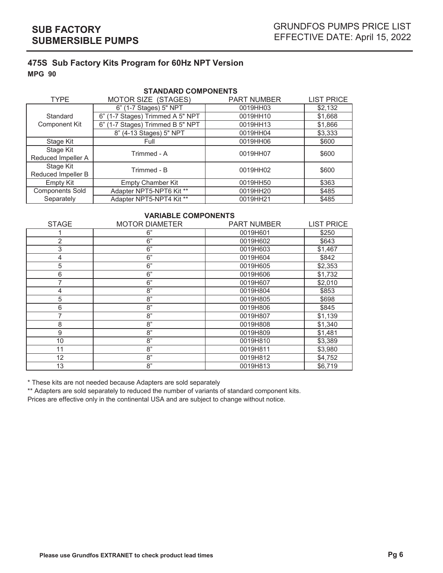| <b>STANDARD COMPONENTS</b>      |                                  |                    |                   |  |
|---------------------------------|----------------------------------|--------------------|-------------------|--|
| <b>TYPE</b>                     | MOTOR SIZE (STAGES)              | <b>PART NUMBER</b> | <b>LIST PRICE</b> |  |
|                                 | 6" (1-7 Stages) 5" NPT           | 0019HH03           | \$2,132           |  |
| Standard                        | 6" (1-7 Stages) Trimmed A 5" NPT | 0019HH10           | \$1,668           |  |
| <b>Component Kit</b>            | 6" (1-7 Stages) Trimmed B 5" NPT | 0019HH13           | \$1,866           |  |
|                                 | 8" (4-13 Stages) 5" NPT          | 0019HH04           | \$3,333           |  |
| Stage Kit                       | Full                             | 0019HH06           | \$600             |  |
| Stage Kit<br>Reduced Impeller A | Trimmed - A                      | 0019HH07           | \$600             |  |
| Stage Kit                       |                                  |                    |                   |  |
| Reduced Impeller B              | Trimmed - B                      | 0019HH02           | \$600             |  |
| Empty Kit                       | <b>Empty Chamber Kit</b>         | 0019HH50           | \$363             |  |
| <b>Components Sold</b>          | Adapter NPT5-NPT6 Kit **         | 0019HH20           | \$485             |  |
| Separately                      | Adapter NPT5-NPT4 Kit **         | 0019HH21           | \$485             |  |

### **VARIABLE COMPONENTS**

| <b>STAGE</b> | <b>MOTOR DIAMETER</b> | <b>PART NUMBER</b> | <b>LIST PRICE</b> |
|--------------|-----------------------|--------------------|-------------------|
|              | 6"                    | 0019H601           | \$250             |
| 2            | 6"                    | 0019H602           | \$643             |
| 3            | 6"                    | 0019H603           | \$1,467           |
| 4            | 6"                    | 0019H604           | \$842             |
| 5            | 6"                    | 0019H605           | \$2,353           |
| 6            | $6"$                  | 0019H606           | \$1,732           |
|              | $6"$                  | 0019H607           | \$2,010           |
| 4            | 8"                    | 0019H804           | \$853             |
| 5            | 8"                    | 0019H805           | \$698             |
| 6            | 8"                    | 0019H806           | \$845             |
|              | 8"                    | 0019H807           | \$1,139           |
| 8            | 8"                    | 0019H808           | \$1,340           |
| 9            | 8"                    | 0019H809           | \$1,481           |
| 10           | 8"                    | 0019H810           | \$3,389           |
| 11           | 8"                    | 0019H811           | \$3,980           |
| 12           | 8"                    | 0019H812           | \$4,752           |
| 13           | 8"                    | 0019H813           | \$6,719           |

\* These kits are not needed because Adapters are sold separately

\*\* Adapters are sold separately to reduced the number of variants of standard component kits.

Prices are effective only in the continental USA and are subject to change without notice.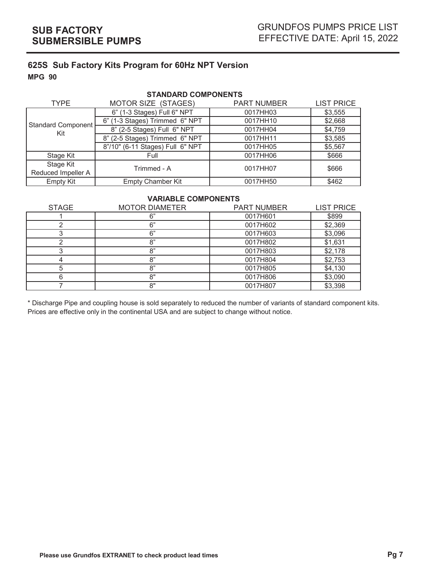| <b>STANDARD COMPONENTS</b>      |                                  |                    |                   |  |  |  |  |  |  |  |  |  |
|---------------------------------|----------------------------------|--------------------|-------------------|--|--|--|--|--|--|--|--|--|
| <b>TYPE</b>                     | MOTOR SIZE (STAGES)              | <b>PART NUMBER</b> | <b>LIST PRICE</b> |  |  |  |  |  |  |  |  |  |
|                                 | 6" (1-3 Stages) Full 6" NPT      | 0017HH03           | \$3,555           |  |  |  |  |  |  |  |  |  |
| <b>Standard Component</b>       | 6" (1-3 Stages) Trimmed 6" NPT   | 0017HH10           | \$2,668           |  |  |  |  |  |  |  |  |  |
| Kit                             | 8" (2-5 Stages) Full 6" NPT      | 0017HH04           | \$4,759           |  |  |  |  |  |  |  |  |  |
|                                 | 8" (2-5 Stages) Trimmed 6" NPT   | 0017HH11           | \$3,585           |  |  |  |  |  |  |  |  |  |
|                                 | 8"/10" (6-11 Stages) Full 6" NPT | 0017HH05           | \$5,567           |  |  |  |  |  |  |  |  |  |
| Stage Kit                       | Full                             | 0017HH06           | \$666             |  |  |  |  |  |  |  |  |  |
| Stage Kit<br>Reduced Impeller A | Trimmed - A                      | 0017HH07           | \$666             |  |  |  |  |  |  |  |  |  |
| Empty Kit                       | <b>Empty Chamber Kit</b>         | 0017HH50           | \$462             |  |  |  |  |  |  |  |  |  |

## **VARIABLE COMPONENTS**

| <b>STAGE</b> | <b>MOTOR DIAMETER</b> | <b>PART NUMBER</b> | <b>LIST PRICE</b> |
|--------------|-----------------------|--------------------|-------------------|
|              | 6"                    | 0017H601           | \$899             |
|              | 6"                    | 0017H602           | \$2,369           |
|              | 6"                    | 0017H603           | \$3,096           |
|              | 8"                    | 0017H802           | \$1,631           |
|              | 8"                    | 0017H803           | \$2,178           |
|              | 8"                    | 0017H804           | \$2,753           |
|              | 8"                    | 0017H805           | \$4,130           |
|              | 8"                    | 0017H806           | \$3,090           |
|              | 8"                    | 0017H807           | \$3,398           |

\* Discharge Pipe and coupling house is sold separately to reduced the number of variants of standard component kits. Prices are effective only in the continental USA and are subject to change without notice.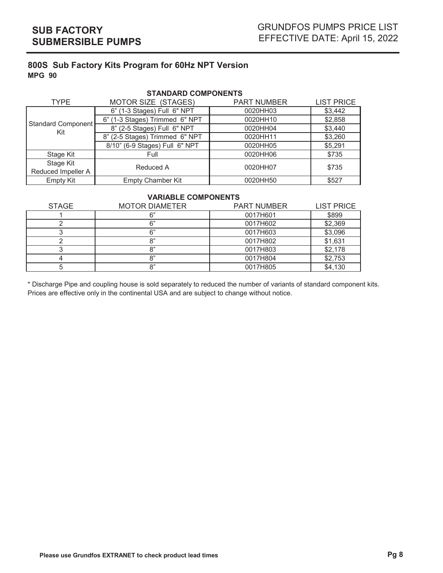| <b>STANDARD COMPONENTS</b> |                                      |                    |                   |  |  |  |  |  |  |  |  |  |  |
|----------------------------|--------------------------------------|--------------------|-------------------|--|--|--|--|--|--|--|--|--|--|
| <b>TYPE</b>                | MOTOR SIZE (STAGES)                  | <b>PART NUMBER</b> | <b>LIST PRICE</b> |  |  |  |  |  |  |  |  |  |  |
|                            | 6" (1-3 Stages) Full 6" NPT          | 0020HH03           | \$3,442           |  |  |  |  |  |  |  |  |  |  |
| <b>Standard Component</b>  | 6" (1-3 Stages) Trimmed 6" NPT       | 0020HH10           | \$2,858           |  |  |  |  |  |  |  |  |  |  |
| Kit                        | 8" (2-5 Stages) Full 6" NPT          | 0020HH04           | \$3,440           |  |  |  |  |  |  |  |  |  |  |
|                            | 8" (2-5 Stages) Trimmed 6" NPT       | 0020HH11           | \$3,260           |  |  |  |  |  |  |  |  |  |  |
|                            | 8/10" (6-9 Stages) Full 6" NPT       | 0020HH05           | \$5,291           |  |  |  |  |  |  |  |  |  |  |
| Stage Kit                  | Full                                 | 0020HH06           | \$735             |  |  |  |  |  |  |  |  |  |  |
| Stage Kit                  | Reduced A                            | 0020HH07           | \$735             |  |  |  |  |  |  |  |  |  |  |
| Reduced Impeller A         |                                      |                    |                   |  |  |  |  |  |  |  |  |  |  |
| Empty Kit                  | <b>Empty Chamber Kit</b><br>0020HH50 |                    |                   |  |  |  |  |  |  |  |  |  |  |

## **VARIABLE COMPONENTS**

| <b>STAGE</b> | <b>MOTOR DIAMETER</b> | <b>PART NUMBER</b> | <b>LIST PRICE</b> |
|--------------|-----------------------|--------------------|-------------------|
|              |                       | 0017H601           | \$899             |
|              | ຂ"                    | 0017H602           | \$2,369           |
|              | ና"                    | 0017H603           | \$3,096           |
|              | ດະ                    | 0017H802           | \$1,631           |
|              | o"                    | 0017H803           | \$2,178           |
|              | "א                    | 0017H804           | \$2,753           |
|              | O"                    | 0017H805           | \$4,130           |

\* Discharge Pipe and coupling house is sold separately to reduced the number of variants of standard component kits. Prices are effective only in the continental USA and are subject to change without notice.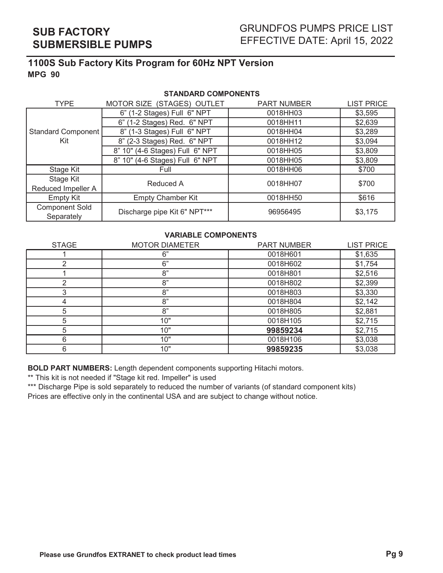| <b>STANDARD COMPONENTS</b>          |                                 |                    |                   |  |  |  |  |  |  |  |  |  |  |
|-------------------------------------|---------------------------------|--------------------|-------------------|--|--|--|--|--|--|--|--|--|--|
| <b>TYPE</b>                         | MOTOR SIZE (STAGES) OUTLET      | <b>PART NUMBER</b> | <b>LIST PRICE</b> |  |  |  |  |  |  |  |  |  |  |
|                                     | 6" (1-2 Stages) Full 6" NPT     | 0018HH03           | \$3,595           |  |  |  |  |  |  |  |  |  |  |
|                                     | 6" (1-2 Stages) Red. 6" NPT     | 0018HH11           | \$2,639           |  |  |  |  |  |  |  |  |  |  |
| Standard Component                  | 8" (1-3 Stages) Full 6" NPT     | 0018HH04           | \$3,289           |  |  |  |  |  |  |  |  |  |  |
| Kit                                 | 8" (2-3 Stages) Red. 6" NPT     | 0018HH12           | \$3,094           |  |  |  |  |  |  |  |  |  |  |
|                                     | 8" 10" (4-6 Stages) Full 6" NPT | 0018HH05           | \$3,809           |  |  |  |  |  |  |  |  |  |  |
|                                     | 8" 10" (4-6 Stages) Full 6" NPT | 0018HH05           | \$3,809           |  |  |  |  |  |  |  |  |  |  |
| Stage Kit                           | Full                            | 0018HH06           | \$700             |  |  |  |  |  |  |  |  |  |  |
| Stage Kit                           | Reduced A                       | 0018HH07           | \$700             |  |  |  |  |  |  |  |  |  |  |
| Reduced Impeller A                  |                                 |                    |                   |  |  |  |  |  |  |  |  |  |  |
| <b>Empty Kit</b>                    | <b>Empty Chamber Kit</b>        | 0018HH50           | \$616             |  |  |  |  |  |  |  |  |  |  |
| <b>Component Sold</b><br>Separately | Discharge pipe Kit 6" NPT***    | 96956495           | \$3,175           |  |  |  |  |  |  |  |  |  |  |

## **VARIABLE COMPONENTS**

| <b>STAGE</b> | <b>MOTOR DIAMETER</b> | <b>PART NUMBER</b> | <b>LIST PRICE</b> |
|--------------|-----------------------|--------------------|-------------------|
|              | 6"                    | 0018H601           | \$1,635           |
|              | 6"                    | 0018H602           | \$1,754           |
|              | 8"                    | 0018H801           | \$2,516           |
|              | 8"                    | 0018H802           | \$2,399           |
|              | 8"                    | 0018H803           | \$3,330           |
|              | 8"                    | 0018H804           | \$2,142           |
| 5            | 8"                    | 0018H805           | \$2,881           |
| 5            | 10"                   | 0018H105           | \$2,715           |
| 5            | 10"                   | 99859234           | \$2,715           |
| 6            | 10"                   | 0018H106           | \$3,038           |
| 6            | 10"                   | 99859235           | \$3,038           |

**BOLD PART NUMBERS:** Length dependent components supporting Hitachi motors.

\*\* This kit is not needed if "Stage kit red. Impeller" is used

\*\*\* Discharge Pipe is sold separately to reduced the number of variants (of standard component kits) Prices are effective only in the continental USA and are subject to change without notice.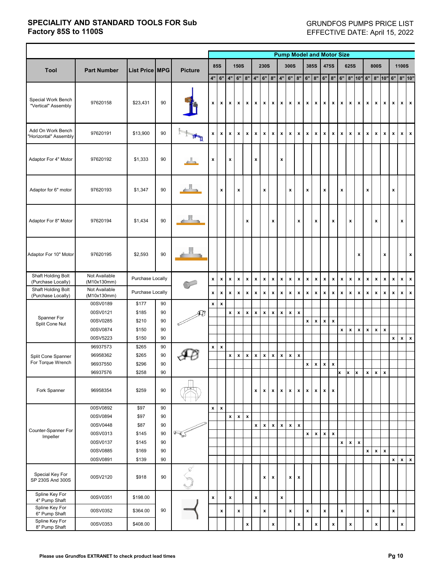|                                            |                              |                       |    |                           |                    |                           |                           |                           |                           |                           |                    |                           | <b>Pump Model and Motor Size</b> |                    |                           |                           |                    |                    |                           |                    |                           |                           |                           |                    |                           |                           |                                          |                    |
|--------------------------------------------|------------------------------|-----------------------|----|---------------------------|--------------------|---------------------------|---------------------------|---------------------------|---------------------------|---------------------------|--------------------|---------------------------|----------------------------------|--------------------|---------------------------|---------------------------|--------------------|--------------------|---------------------------|--------------------|---------------------------|---------------------------|---------------------------|--------------------|---------------------------|---------------------------|------------------------------------------|--------------------|
|                                            |                              |                       |    |                           |                    |                           |                           |                           |                           |                           |                    |                           |                                  |                    |                           |                           |                    |                    |                           |                    |                           |                           |                           |                    |                           |                           |                                          |                    |
| <b>Tool</b>                                | <b>Part Number</b>           | <b>List Price MPG</b> |    | <b>Picture</b>            |                    | <b>85S</b>                |                           | <b>150S</b>               |                           |                           | <b>230S</b>        |                           |                                  | <b>300S</b>        |                           | <b>385S</b>               |                    |                    | 475S                      |                    | <b>625S</b>               |                           | <b>800S</b>               |                    |                           |                           | <b>1100S</b>                             |                    |
|                                            |                              |                       |    |                           |                    | $4"$ 6"                   |                           | 4" 6"                     | 8"                        | 4"                        | 6"                 |                           |                                  | 8" 4" 6" 8"        |                           |                           | 6" 8" 6" 8"        |                    |                           |                    |                           |                           |                           |                    |                           |                           | 6"   8"  10"  6"   8"  10"  6"   8"  10" |                    |
| Special Work Bench<br>"Vertical" Assembly  | 97620158                     | \$23,431              | 90 |                           | $\pmb{\chi}$       | $\mathbf{x}$              | $\mathbf{x}$              | $\mathbf{x}$              | $\boldsymbol{\mathsf{x}}$ | $\boldsymbol{\mathsf{x}}$ | $\mathbf{x}$       |                           | $x \mid x$                       | $\mathbf{x}$       |                           | $x \mid x \mid$           | $x \mid x$         |                    |                           | $x \mid x \mid$    |                           | $x \mid x \mid$           | x l                       | $\mathbf{x}$       | $\mathbf{x}$              | $\mathbf{x}$              |                                          | $x \mid x$         |
| Add On Work Bench<br>"Horizontal" Assembly | 97620191                     | \$13,900              | 90 |                           | $\pmb{\mathsf{x}}$ | $\mathbf{x}$              | $\mathbf{x}$              | $\boldsymbol{\mathsf{x}}$ | $\mathbf{x}$              | $\mathbf{x}$              | $\mathbf{x}$       | $\mathbf{x}$              | $\mathbf{x}$                     | $\mathbf{x}$       | $\mathbf{x}$              | $\mathbf{x}$              | $\boldsymbol{x}$   | $\mathbf{x}$       | $\mathbf{x}$              | $\mathbf{x}$       | $\mathbf{x}$              | $\mathbf{x}$              | $\mathbf{x}$              | $\mathbf{x}$       | $\mathbf{x}$              | $\mathbf{x}$              |                                          | $x \mid x$         |
| Adaptor For 4" Motor                       | 97620192                     | \$1,333               | 90 | كالم                      | $\pmb{\mathsf{x}}$ |                           | $\pmb{\mathsf{x}}$        |                           |                           | $\boldsymbol{x}$          |                    |                           | $\boldsymbol{\mathsf{x}}$        |                    |                           |                           |                    |                    |                           |                    |                           |                           |                           |                    |                           |                           |                                          |                    |
| Adaptor for 6" motor                       | 97620193                     | \$1,347               | 90 | $\overline{\phantom{a}}$  |                    | $\pmb{\mathsf{x}}$        |                           | $\pmb{\mathsf{x}}$        |                           |                           | $\pmb{\mathsf{x}}$ |                           |                                  | $\pmb{\mathsf{X}}$ |                           | $\pmb{\mathsf{x}}$        |                    | $\pmb{\mathsf{x}}$ |                           | $\pmb{\mathsf{x}}$ |                           |                           | $\pmb{\mathsf{x}}$        |                    |                           | $\pmb{\mathsf{x}}$        |                                          |                    |
| Adaptor For 8" Motor                       | 97620194                     | \$1,434               | 90 |                           |                    |                           |                           |                           | $\boldsymbol{x}$          |                           |                    | $\pmb{\mathsf{x}}$        |                                  |                    | $\pmb{\mathsf{X}}$        |                           | $\pmb{\mathsf{x}}$ |                    | $\pmb{\mathsf{x}}$        |                    | $\pmb{\chi}$              |                           |                           | $\mathbf{x}$       |                           |                           | $\boldsymbol{x}$                         |                    |
| Adaptor For 10" Motor                      | 97620195                     | \$2,593               | 90 |                           |                    |                           |                           |                           |                           |                           |                    |                           |                                  |                    |                           |                           |                    |                    |                           |                    |                           | X                         |                           |                    | $\pmb{\mathsf{X}}$        |                           |                                          | $\pmb{\mathsf{x}}$ |
| Shaft Holding Bolt<br>(Purchase Locally)   | Not Available<br>(M10x130mm) | Purchase Locally      |    |                           | $\pmb{\mathsf{x}}$ | $\mathbf{x}$              | $\mathbf{x}$              | $\boldsymbol{\mathsf{x}}$ | $\mathbf{x}$              | $\mathbf{x}$              | $\mathbf{x}$       | $\mathbf{x}$              | $\mathbf{x}$                     | $\mathbf{x}$       | $\mathbf{x}$              | $\mathbf{x}$              | $\mathbf{x}$       | $\mathbf{x}$       | $\boldsymbol{\mathsf{x}}$ | $\mathbf{x}$       | $\mathbf{x}$              | $\boldsymbol{\mathsf{X}}$ | $\pmb{\chi}$              | $\mathbf{x}$       | $\mathbf{x}$              | $\boldsymbol{\mathsf{x}}$ | $\mathbf{x}$                             | $\mathbf{x}$       |
| Shaft Holding Bolt<br>(Purchase Locally)   | Not Available<br>(M10x130mm) | Purchase Locally      |    |                           | $\pmb{\mathsf{x}}$ | $\boldsymbol{\mathsf{x}}$ | $\mathbf{x}$              | $\pmb{\chi}$              | $\boldsymbol{\mathsf{x}}$ | $\mathbf{x}$              | $\mathbf{x}$       | $\boldsymbol{\mathsf{X}}$ | $\mathbf{x}$                     | $\boldsymbol{x}$   | $\boldsymbol{\mathsf{x}}$ | $\boldsymbol{\mathsf{x}}$ | $\mathbf{x}$       | $\boldsymbol{x}$   | $\boldsymbol{\mathsf{X}}$ | $\mathbf{x}$       | $\mathbf{x}$              | $\mathbf{x}$              | $\boldsymbol{\mathsf{x}}$ | $\mathbf{x}$       | $\boldsymbol{\mathsf{x}}$ | $\mathbf{x}$              | $\mathbf{x}$                             | $\mathbf{x}$       |
|                                            | 00SV0189                     | \$177                 | 90 |                           | $\pmb{\mathsf{x}}$ | $\boldsymbol{\mathsf{X}}$ |                           |                           |                           |                           |                    |                           |                                  |                    |                           |                           |                    |                    |                           |                    |                           |                           |                           |                    |                           |                           |                                          |                    |
|                                            | 00SV0121                     | \$185                 | 90 | ÆВ                        |                    |                           | $\boldsymbol{x}$          | $\boldsymbol{\mathsf{x}}$ | $\pmb{\chi}$              | $\mathbf{x}$              | $\boldsymbol{x}$   | $\pmb{\chi}$              | $\mathbf{x}$                     | $\mathbf{x}$       | $\boldsymbol{\mathsf{x}}$ |                           |                    |                    |                           |                    |                           |                           |                           |                    |                           |                           |                                          |                    |
| Spanner For<br>Split Cone Nut              | 00SV0285                     | \$210                 | 90 |                           |                    |                           |                           |                           |                           |                           |                    |                           |                                  |                    |                           | $\mathbf{x}$              | $\pmb{\mathsf{x}}$ | $\mathbf{x}$       | $\pmb{\chi}$              |                    |                           |                           |                           |                    |                           |                           |                                          |                    |
|                                            | 00SV0874                     | \$150                 | 90 |                           |                    |                           |                           |                           |                           |                           |                    |                           |                                  |                    |                           |                           |                    |                    |                           | $\mathbf{x}$       | $\boldsymbol{\mathsf{x}}$ | $\pmb{\chi}$              | $\pmb{\chi}$              | $\boldsymbol{x}$   | $\boldsymbol{\mathsf{x}}$ |                           |                                          |                    |
|                                            | 00SV5223                     | \$150                 | 90 |                           |                    |                           |                           |                           |                           |                           |                    |                           |                                  |                    |                           |                           |                    |                    |                           |                    |                           |                           |                           |                    |                           | $\pmb{\mathsf{x}}$        | $\mathbf{x}$                             | $\mathbf{x}$       |
|                                            | 96937573                     | \$265                 | 90 |                           | $\pmb{\mathsf{x}}$ | $\boldsymbol{\mathsf{x}}$ |                           |                           |                           |                           |                    |                           |                                  |                    |                           |                           |                    |                    |                           |                    |                           |                           |                           |                    |                           |                           |                                          |                    |
| Split Cone Spanner                         | 96958362                     | \$265                 | 90 |                           |                    |                           | $\boldsymbol{\mathsf{X}}$ | $\boldsymbol{\mathsf{x}}$ | $\pmb{\mathsf{x}}$        | $\mathbf x$               | $\mathbf{x}$       | $\pmb{\mathsf{x}}$        | $\boldsymbol{\mathsf{x}}$        | $\mathbf{x}$       | $\boldsymbol{\mathsf{X}}$ |                           |                    |                    |                           |                    |                           |                           |                           |                    |                           |                           |                                          |                    |
| For Torque Wrench                          | 96937550                     | \$296                 | 90 |                           |                    |                           |                           |                           |                           |                           |                    |                           |                                  |                    |                           | $\boldsymbol{x}$          | $\pmb{\mathsf{x}}$ | $\pmb{\chi}$       | $\pmb{\chi}$              |                    |                           |                           |                           |                    |                           |                           |                                          |                    |
|                                            | 96937576                     | \$258                 | 90 |                           |                    |                           |                           |                           |                           |                           |                    |                           |                                  |                    |                           |                           |                    |                    |                           | $\mathbf{x}$       | x                         | $\mathbf{x}$              | $\boldsymbol{x}$          | $\mathbf{x}$       | $\boldsymbol{x}$          |                           |                                          |                    |
| Fork Spanner                               | 96958354                     | \$259                 | 90 |                           |                    |                           |                           |                           |                           | X                         | $\mathbf{x}$       | $\pmb{\chi}$              | $\mathbf{x}$                     | $\mathbf{x}$       | $\mathbf{x}$              | $\mathbf{x}$              | $\mathbf{x}$       | $\mathbf{x}$       | $\boldsymbol{\mathsf{X}}$ |                    |                           |                           |                           |                    |                           |                           |                                          |                    |
|                                            | 00SV0892                     | \$97                  | 90 |                           | $\pmb{\mathsf{x}}$ | $\pmb{\chi}$              |                           |                           |                           |                           |                    |                           |                                  |                    |                           |                           |                    |                    |                           |                    |                           |                           |                           |                    |                           |                           |                                          |                    |
|                                            | 00SV0894                     | \$97                  | 90 |                           |                    |                           | $\mathbf{x}$              | $\boldsymbol{\mathsf{X}}$ | $\pmb{\chi}$              |                           |                    |                           |                                  |                    |                           |                           |                    |                    |                           |                    |                           |                           |                           |                    |                           |                           |                                          |                    |
|                                            | 00SV0448                     | \$87                  | 90 |                           |                    |                           |                           |                           |                           | $\mathbf{x}$              | $\mathbf{x}$       | $\pmb{\chi}$              | $\boldsymbol{x}$                 | $\mathbf{x}$       | $\boldsymbol{\mathsf{x}}$ |                           |                    |                    |                           |                    |                           |                           |                           |                    |                           |                           |                                          |                    |
| Counter-Spanner For<br>Impeller            | 00SV0313                     | \$145                 | 90 | $\mathbb{F}_{\mathbb{Z}}$ |                    |                           |                           |                           |                           |                           |                    |                           |                                  |                    |                           | $\boldsymbol{x}$          | $\pmb{\mathsf{x}}$ | $\mathbf{x}$       | $\pmb{\chi}$              |                    |                           |                           |                           |                    |                           |                           |                                          |                    |
|                                            | 00SV0137                     | \$145                 | 90 |                           |                    |                           |                           |                           |                           |                           |                    |                           |                                  |                    |                           |                           |                    |                    |                           | $\boldsymbol{x}$   | $\mathbf{x}$              | $\pmb{\mathsf{x}}$        |                           |                    |                           |                           |                                          |                    |
|                                            | 00SV0885                     | \$169                 | 90 |                           |                    |                           |                           |                           |                           |                           |                    |                           |                                  |                    |                           |                           |                    |                    |                           |                    |                           |                           | $\mathbf{x}$              | $\mathbf{x}$       | $\boldsymbol{\mathsf{x}}$ |                           |                                          |                    |
|                                            | 00SV0891                     | \$139                 | 90 |                           |                    |                           |                           |                           |                           |                           |                    |                           |                                  |                    |                           |                           |                    |                    |                           |                    |                           |                           |                           |                    |                           | $\pmb{\mathsf{x}}$        | $\boldsymbol{x}$                         | $\mathbf{x}$       |
| Special Key For<br>SP 230S And 300S        | 00SV2120                     | \$918                 | 90 | Š<br>∾                    |                    |                           |                           |                           |                           |                           | $\mathbf{x}$       | $\boldsymbol{\mathsf{X}}$ |                                  | $\pmb{\mathsf{X}}$ | $\pmb{\mathsf{x}}$        |                           |                    |                    |                           |                    |                           |                           |                           |                    |                           |                           |                                          |                    |
| Spline Key For<br>4" Pump Shaft            | 00SV0351                     | \$198.00              |    |                           | $\pmb{\mathsf{x}}$ |                           | $\mathbf{x}$              |                           |                           | $\pmb{\mathsf{x}}$        |                    |                           | $\pmb{\mathsf{X}}$               |                    |                           |                           |                    |                    |                           |                    |                           |                           |                           |                    |                           |                           |                                          |                    |
| Spline Key For<br>6" Pump Shaft            | 00SV0352                     | \$364.00              | 90 |                           |                    | $\boldsymbol{\mathsf{X}}$ |                           | $\pmb{\mathsf{x}}$        |                           |                           | $\mathbf{x}$       |                           |                                  | $\pmb{\mathsf{X}}$ |                           | $\boldsymbol{\mathsf{X}}$ |                    | $\pmb{\mathsf{X}}$ |                           | $\pmb{\mathsf{X}}$ |                           |                           | $\boldsymbol{x}$          |                    |                           | $\pmb{\mathsf{x}}$        |                                          |                    |
| Spline Key For<br>8" Pump Shaft            | 00SV0353                     | \$408.00              |    |                           |                    |                           |                           |                           | $\pmb{\mathsf{x}}$        |                           |                    | $\pmb{\mathsf{x}}$        |                                  |                    | $\pmb{\mathsf{x}}$        |                           | $\pmb{\mathsf{x}}$ |                    | $\pmb{\mathsf{x}}$        |                    | $\pmb{\mathsf{x}}$        |                           |                           | $\pmb{\mathsf{X}}$ |                           |                           | $\pmb{\mathsf{x}}$                       |                    |

# **SPECIALITY AND STANDARD TOOLS FOR Sub Factory 85S to 1100S**